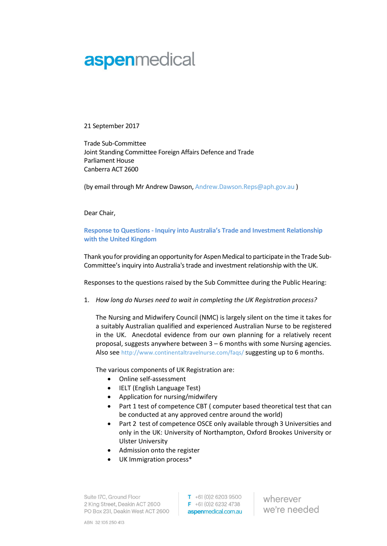## aspenmedical

21 September 2017

Trade Sub‐Committee Joint Standing Committee Foreign Affairs Defence and Trade Parliament House Canberra ACT 2600

(by email through Mr Andrew Dawson, Andrew.Dawson.Reps@aph.gov.au )

Dear Chair,

Response to Questions - Inquiry into Australia's Trade and Investment Relationship with the United Kingdom

Thank you for providing an opportunity for Aspen Medical to participate in the Trade Sub‐ Committee's inquiry into Australia's trade and investment relationship with the UK.

Responses to the questions raised by the Sub Committee during the Public Hearing:

1. How long do Nurses need to wait in completing the UK Registration process?

The Nursing and Midwifery Council (NMC) is largely silent on the time it takes for a suitably Australian qualified and experienced Australian Nurse to be registered in the UK. Anecdotal evidence from our own planning for a relatively recent proposal, suggests anywhere between 3 – 6 months with some Nursing agencies. Also see http://www.continentaltravelnurse.com/faqs/ suggesting up to 6 months.

The various components of UK Registration are:

- Online self‐assessment
- IELT (English Language Test)
- Application for nursing/midwifery
- Part 1 test of competence CBT ( computer based theoretical test that can be conducted at any approved centre around the world)
- Part 2 test of competence OSCE only available through 3 Universities and only in the UK: University of Northampton, Oxford Brookes University or Ulster University
- Admission onto the register
- UK Immigration process\*

Suite 17C, Ground Floor 2 King Street, Deakin ACT 2600 PO Box 231, Deakin West ACT 2600  $T + 61(0)262039500$  $F + 61(0)262324738$ aspenmedical.com.au

wherever we're needed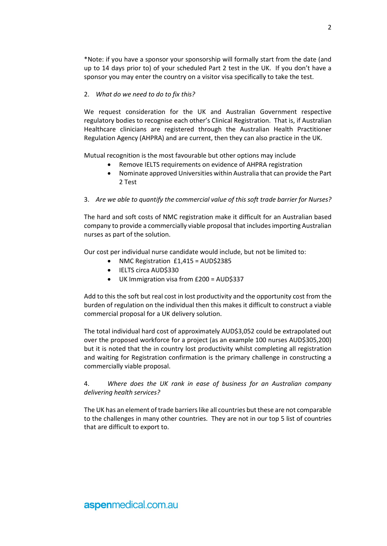\*Note: if you have a sponsor your sponsorship will formally start from the date (and up to 14 days prior to) of your scheduled Part 2 test in the UK. If you don't have a sponsor you may enter the country on a visitor visa specifically to take the test.

## 2. What do we need to do to fix this?

We request consideration for the UK and Australian Government respective regulatory bodies to recognise each other's Clinical Registration. That is, if Australian Healthcare clinicians are registered through the Australian Health Practitioner Regulation Agency (AHPRA) and are current, then they can also practice in the UK.

Mutual recognition is the most favourable but other options may include

- Remove IELTS requirements on evidence of AHPRA registration
- Nominate approved Universities within Australia that can provide the Part 2 Test

## 3. Are we able to quantify the commercial value of this soft trade barrier for Nurses?

The hard and soft costs of NMC registration make it difficult for an Australian based company to provide a commercially viable proposal that includes importing Australian nurses as part of the solution.

Our cost per individual nurse candidate would include, but not be limited to:

- NMC Registration £1,415 = AUD\$2385
- IELTS circa AUD\$330
- UK Immigration visa from £200 = AUD\$337

Add to this the soft but real cost in lost productivity and the opportunity cost from the burden of regulation on the individual then this makes it difficult to construct a viable commercial proposal for a UK delivery solution.

The total individual hard cost of approximately AUD\$3,052 could be extrapolated out over the proposed workforce for a project (as an example 100 nurses AUD\$305,200) but it is noted that the in country lost productivity whilst completing all registration and waiting for Registration confirmation is the primary challenge in constructing a commercially viable proposal.

## 4. Where does the UK rank in ease of business for an Australian company delivering health services?

The UK has an element of trade barriers like all countries but these are not comparable to the challenges in many other countries. They are not in our top 5 list of countries that are difficult to export to.